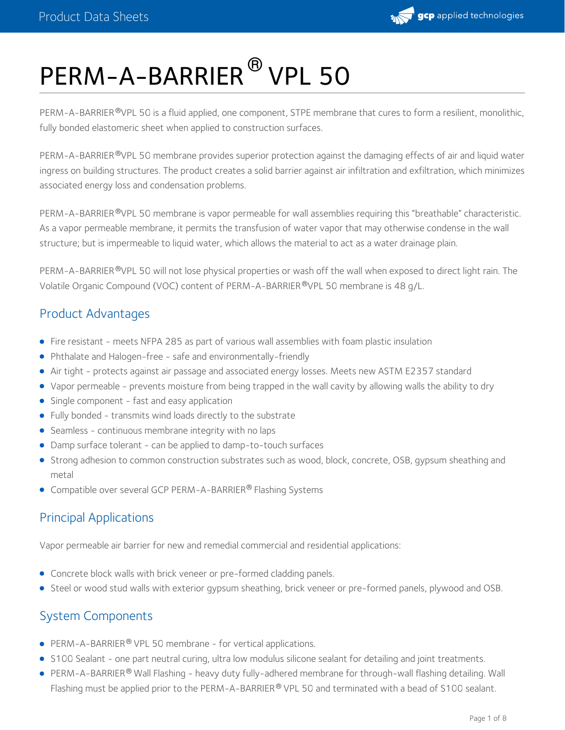

# PERM-A-BARRIER<sup>®</sup> VPL 50

PERM-A-BARRIER®VPL 50 is a fluid applied, one component, STPE membrane that cures to form a resilient, monolithic, fully bonded elastomeric sheet when applied to construction surfaces.

PERM-A-BARRIER®VPL 50 membrane provides superior protection against the damaging effects of air and liquid water ingress on building structures. The product creates a solid barrier against air infiltration and exfiltration, which minimizes associated energy loss and condensation problems.

PERM-A-BARRIER <sup>®</sup>VPL 50 membrane is vapor permeable for wall assemblies requiring this "breathable" characteristic. As a vapor permeable membrane, it permits the transfusion of water vapor that may otherwise condense in the wall structure; but is impermeable to liquid water, which allows the material to act as a water drainage plain.

PERM-A-BARRIER®VPL 50 will not lose physical properties or wash off the wall when exposed to direct light rain. The Volatile Organic Compound (VOC) content of PERM-A-BARRIER®VPL 50 membrane is 48 g/L.

## Product Advantages

- Fire resistant meets NFPA 285 as part of various wall assemblies with foam plastic insulation
- Phthalate and Halogen-free safe and environmentally-friendly
- Air tight protects against air passage and associated energy losses. Meets new ASTM E2357 standard
- Vapor permeable prevents moisture from being trapped in the wall cavity by allowing walls the ability to dry
- Single component fast and easy application
- Fully bonded transmits wind loads directly to the substrate
- Seamless continuous membrane integrity with no laps
- Damp surface tolerant can be applied to damp-to-touch surfaces
- Strong adhesion to common construction substrates such as wood, block, concrete, OSB, gypsum sheathing and metal
- Compatible over several GCP PERM-A-BARRIER® Flashing Systems

## Principal Applications

Vapor permeable air barrier for new and remedial commercial and residential applications:

- Concrete block walls with brick veneer or pre-formed cladding panels.
- Steel or wood stud walls with exterior gypsum sheathing, brick veneer or pre-formed panels, plywood and OSB.

## System Components

- **•** PERM-A-BARRIER<sup>®</sup> VPL 50 membrane for vertical applications.
- S100 Sealant one part neutral curing, ultra low modulus silicone sealant for detailing and joint treatments.
- PERM-A-BARRIER® Wall Flashing heavy duty fully-adhered membrane for through-wall flashing detailing. Wall Flashing must be applied prior to the PERM-A-BARRIER® VPL 50 and terminated with a bead of S100 sealant.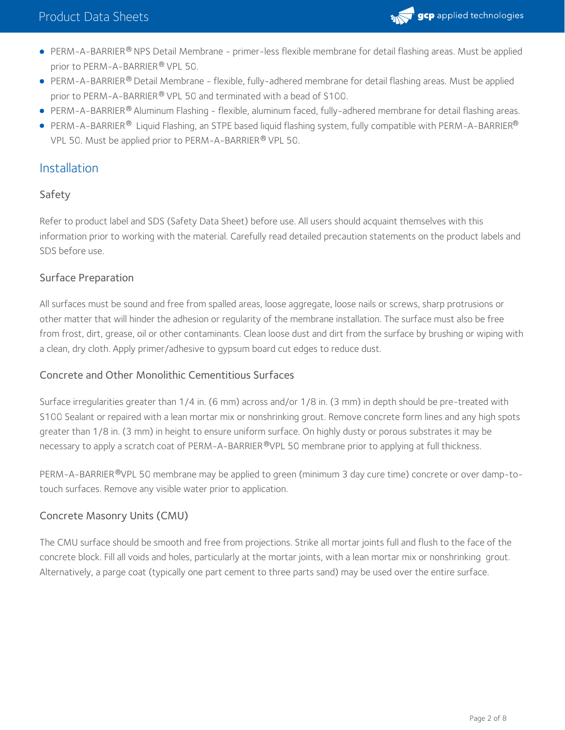

- PERM-A-BARRIER® NPS Detail Membrane primer-less flexible membrane for detail flashing areas. Must be applied prior to PERM-A-BARRIER® VPL 50.
- PERM-A-BARRIER® Detail Membrane flexible, fully-adhered membrane for detail flashing areas. Must be applied prior to PERM-A-BARRIER® VPL 50 and terminated with a bead of S100.
- PERM-A-BARRIER® Aluminum Flashing flexible, aluminum faced, fully-adhered membrane for detail flashing areas.
- <code>PERM-A-BARRIER®</code> Liquid Flashing, an STPE based liquid flashing system, fully compatible with <code>PERM-A-BARRIER®</code> VPL 50. Must be applied prior to PERM-A-BARRIER® VPL 50.

### Installation

#### Safety

Refer to product label and SDS (Safety Data Sheet) before use. All users should acquaint themselves with this information prior to working with the material. Carefully read detailed precaution statements on the product labels and SDS before use.

#### Surface Preparation

All surfaces must be sound and free from spalled areas, loose aggregate, loose nails or screws, sharp protrusions or other matter that will hinder the adhesion or regularity of the membrane installation. The surface must also be free from frost, dirt, grease, oil or other contaminants. Clean loose dust and dirt from the surface by brushing or wiping with a clean, dry cloth. Apply primer/adhesive to gypsum board cut edges to reduce dust.

#### Concrete and Other Monolithic Cementitious Surfaces

Surface irregularities greater than 1/4 in. (6 mm) across and/or 1/8 in. (3 mm) in depth should be pre-treated with S100 Sealant or repaired with a lean mortar mix or nonshrinking grout. Remove concrete form lines and any high spots greater than 1/8 in. (3 mm) in height to ensure uniform surface. On highly dusty or porous substrates it may be necessary to apply a scratch coat of PERM-A-BARRIER®VPL 50 membrane prior to applying at full thickness.

PERM-A-BARRIER®VPL 50 membrane may be applied to green (minimum 3 day cure time) concrete or over damp-totouch surfaces. Remove any visible water prior to application.

#### Concrete Masonry Units (CMU)

The CMU surface should be smooth and free from projections. Strike all mortar joints full and flush to the face of the concrete block. Fill all voids and holes, particularly at the mortar joints, with a lean mortar mix or nonshrinking grout. Alternatively, a parge coat (typically one part cement to three parts sand) may be used over the entire surface.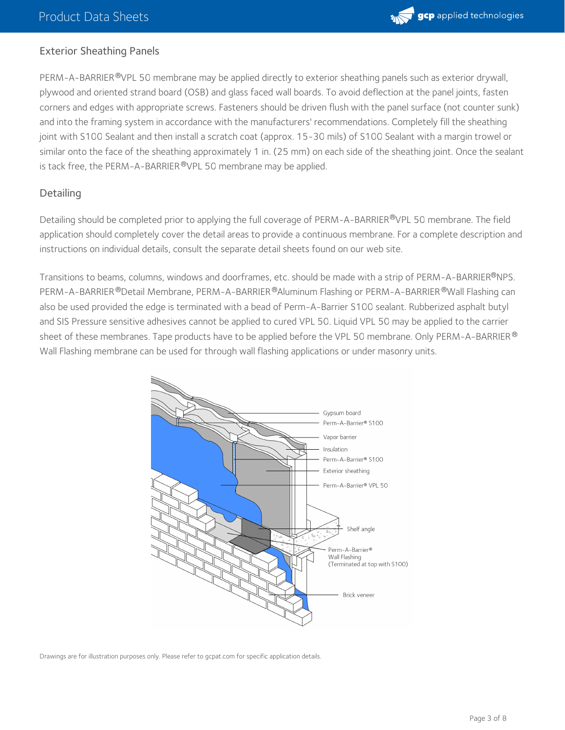

#### Exterior Sheathing Panels

PERM-A-BARRIER <sup>®</sup>VPL 50 membrane may be applied directly to exterior sheathing panels such as exterior drywall, plywood and oriented strand board (OSB) and glass faced wall boards. To avoid deflection at the panel joints, fasten corners and edges with appropriate screws. Fasteners should be driven flush with the panel surface (not counter sunk) and into the framing system in accordance with the manufacturers' recommendations. Completely fill the sheathing joint with S100 Sealant and then install a scratch coat (approx. 15-30 mils) of S100 Sealant with a margin trowel or similar onto the face of the sheathing approximately 1 in. (25 mm) on each side of the sheathing joint. Once the sealant is tack free, the PERM-A-BARRIER  $^\text{\textregistered}$ VPL 50 membrane may be applied.

#### **Detailing**

Detailing should be completed prior to applying the full coverage of PERM-A-BARRIER®VPL 50 membrane. The field application should completely cover the detail areas to provide a continuous membrane. For a complete description and instructions on individual details, consult the separate detail sheets found on our web site.

Transitions to beams, columns, windows and doorframes, etc. should be made with a strip of PERM-A-BARRIER®NPS. PERM-A-BARRIER®Detail Membrane, PERM-A-BARRIER®Aluminum Flashing or PERM-A-BARRIER®Wall Flashing can also be used provided the edge is terminated with a bead of Perm-A-Barrier S100 sealant. Rubberized asphalt butyl and SIS Pressure sensitive adhesives cannot be applied to cured VPL 50. Liquid VPL 50 may be applied to the carrier sheet of these membranes. Tape products have to be applied before the VPL 50 membrane. Only PERM-A-BARRIER  $^\circledR$ Wall Flashing membrane can be used for through wall flashing applications or under masonry units.



Drawings are for illustration purposes only. Please refer to gcpat.com for specific application details.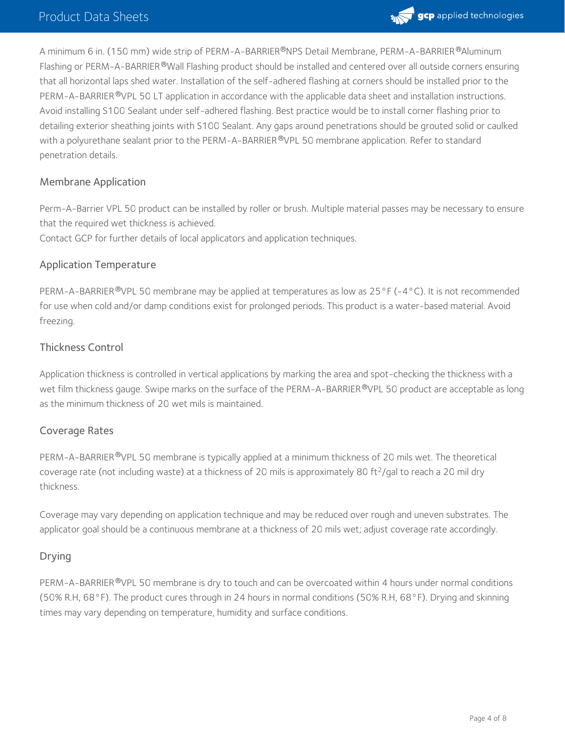

A minimum 6 in. (150 mm) wide strip of PERM-A-BARRIER®NPS Detail Membrane, PERM-A-BARRIER®Aluminum Flashing or PERM-A-BARRIER®Wall Flashing product should be installed and centered over all outside corners ensuring that all horizontal laps shed water. Installation of the self-adhered flashing at corners should be installed prior to the PERM-A-BARRIER <sup>®</sup>VPL 50 LT application in accordance with the applicable data sheet and installation instructions. Avoid installing S100 Sealant under self-adhered flashing. Best practice would be to install corner flashing prior to detailing exterior sheathing joints with S100 Sealant. Any gaps around penetrations should be grouted solid or caulked with a polyurethane sealant prior to the PERM-A-BARRIER®VPL 50 membrane application. Refer to standard penetration details.

#### Membrane Application

Perm-A-Barrier VPL 50 product can be installed by roller or brush. Multiple material passes may be necessary to ensure that the required wet thickness is achieved.

Contact GCP for further details of local applicators and application techniques.

#### Application Temperature

PERM-A-BARRIER®VPL 50 membrane may be applied at temperatures as low as 25°F (-4°C). It is not recommended for use when cold and/or damp conditions exist for prolonged periods. This product is a water-based material. Avoid freezing.

#### Thickness Control

Application thickness is controlled in vertical applications by marking the area and spot-checking the thickness with a wet film thickness gauge. Swipe marks on the surface of the PERM-A-BARRIER ®VPL 50 product are acceptable as long as the minimum thickness of 20 wet mils is maintained.

#### Coverage Rates

PERM-A-BARRIER®VPL 50 membrane is typically applied at a minimum thickness of 20 mils wet. The theoretical coverage rate (not including waste) at a thickness of 20 mils is approximately 80 ft<sup>2</sup>/gal to reach a 20 mil dry thickness.

Coverage may vary depending on application technique and may be reduced over rough and uneven substrates. The applicator goal should be a continuous membrane at a thickness of 20 mils wet; adjust coverage rate accordingly.

#### Drying

PERM-A-BARRIER®VPL 50 membrane is dry to touch and can be overcoated within 4 hours under normal conditions (50% R.H, 68°F). The product cures through in 24 hours in normal conditions (50% R.H, 68°F). Drying and skinning times may vary depending on temperature, humidity and surface conditions.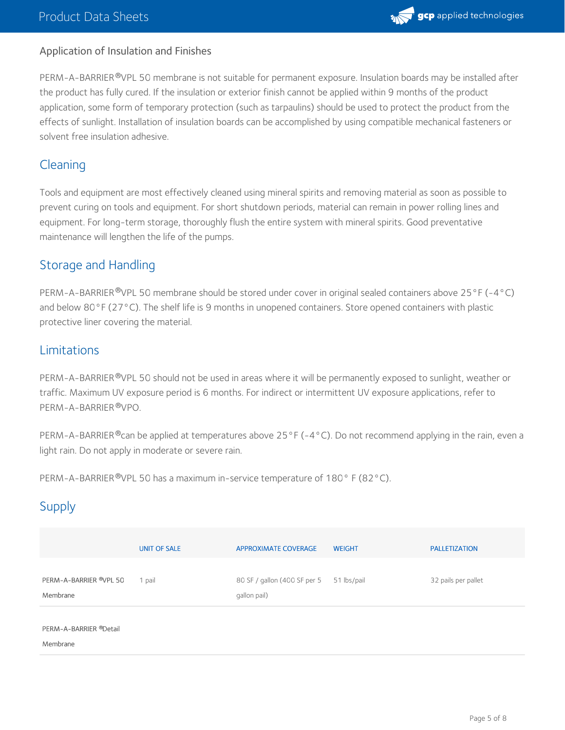

#### Application of Insulation and Finishes

PERM-A-BARRIER®VPL 50 membrane is not suitable for permanent exposure. Insulation boards may be installed after the product has fully cured. If the insulation or exterior finish cannot be applied within 9 months of the product application, some form of temporary protection (such as tarpaulins) should be used to protect the product from the effects of sunlight. Installation of insulation boards can be accomplished by using compatible mechanical fasteners or solvent free insulation adhesive.

## Cleaning

Tools and equipment are most effectively cleaned using mineral spirits and removing material as soon as possible to prevent curing on tools and equipment. For short shutdown periods, material can remain in power rolling lines and equipment. For long-term storage, thoroughly flush the entire system with mineral spirits. Good preventative maintenance will lengthen the life of the pumps.

## Storage and Handling

PERM-A-BARRIER®VPL 50 membrane should be stored under cover in original sealed containers above 25°F (-4°C) and below 80°F (27°C). The shelf life is 9 months in unopened containers. Store opened containers with plastic protective liner covering the material.

## Limitations

PERM-A-BARRIER®VPL 50 should not be used in areas where it will be permanently exposed to sunlight, weather or traffic. Maximum UV exposure period is 6 months. For indirect or intermittent UV exposure applications, refer to PERM-A-BARRIER ®VPO.

PERM-A-BARRIER®can be applied at temperatures above 25°F (-4°C). Do not recommend applying in the rain, even a light rain. Do not apply in moderate or severe rain.

PERM-A-BARRIER®VPL 50 has a maximum in-service temperature of 180°F (82°C).

## **Supply**

|                                    | <b>UNIT OF SALE</b> | <b>APPROXIMATE COVERAGE</b>                  | <b>WEIGHT</b> | <b>PALLETIZATION</b> |
|------------------------------------|---------------------|----------------------------------------------|---------------|----------------------|
| PERM-A-BARRIER ®VPL 50<br>Membrane | 1 pail              | 80 SF / gallon (400 SF per 5<br>qallon pail) | 51 lbs/pail   | 32 pails per pallet  |
| PERM-A-BARRIER ®Detail<br>Membrane |                     |                                              |               |                      |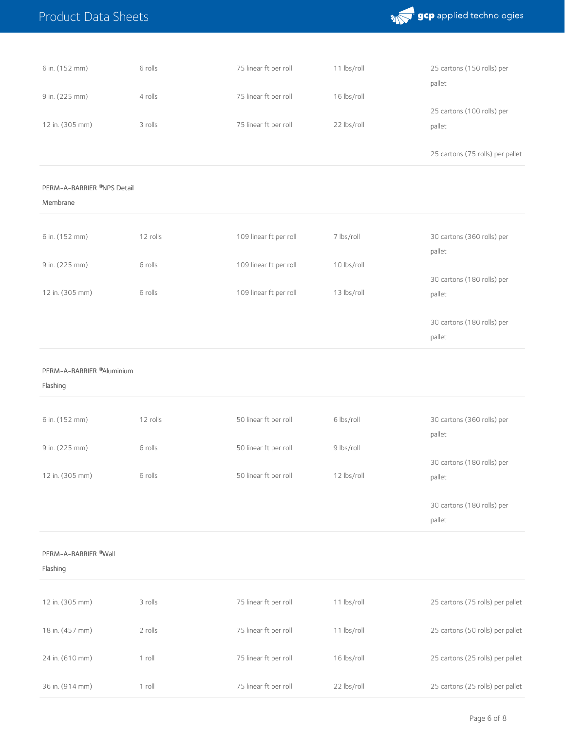|  | <b>Product Data Sheets</b> |  |
|--|----------------------------|--|
|--|----------------------------|--|

in. (914 mm)

roll



| 6 in. (152 mm)                                    | 6 rolls  | 75 linear ft per roll  | 11 lbs/roll | 25 cartons (150 rolls) per<br>pallet |
|---------------------------------------------------|----------|------------------------|-------------|--------------------------------------|
| 9 in. (225 mm)                                    | 4 rolls  | 75 linear ft per roll  | 16 lbs/roll |                                      |
| 12 in. (305 mm)                                   | 3 rolls  | 75 linear ft per roll  | 22 lbs/roll | 25 cartons (100 rolls) per<br>pallet |
|                                                   |          |                        |             | 25 cartons (75 rolls) per pallet     |
| PERM-A-BARRIER ®NPS Detail<br>Membrane            |          |                        |             |                                      |
| 6 in. (152 mm)                                    | 12 rolls | 109 linear ft per roll | 7 lbs/roll  | 30 cartons (360 rolls) per<br>pallet |
| 9 in. (225 mm)                                    | 6 rolls  | 109 linear ft per roll | 10 lbs/roll |                                      |
| 12 in. (305 mm)                                   | 6 rolls  | 109 linear ft per roll | 13 lbs/roll | 30 cartons (180 rolls) per<br>pallet |
|                                                   |          |                        |             | 30 cartons (180 rolls) per<br>pallet |
|                                                   |          |                        |             |                                      |
| PERM-A-BARRIER <sup>®</sup> Aluminium<br>Flashing |          |                        |             |                                      |
| 6 in. (152 mm)                                    | 12 rolls | 50 linear ft per roll  | 6 lbs/roll  | 30 cartons (360 rolls) per<br>pallet |
| 9 in. (225 mm)                                    | 6 rolls  | 50 linear ft per roll  | 9 lbs/roll  |                                      |
| 12 in. (305 mm)                                   | 6 rolls  | 50 linear ft per roll  | 12 lbs/roll | 30 cartons (180 rolls) per<br>pallet |
|                                                   |          |                        |             | 30 cartons (180 rolls) per<br>pallet |
| PERM-A-BARRIER <sup>®</sup> Wall<br>Flashing      |          |                        |             |                                      |
| 12 in. (305 mm)                                   | 3 rolls  | 75 linear ft per roll  | 11 lbs/roll | 25 cartons (75 rolls) per pallet     |
| 18 in. (457 mm)                                   | 2 rolls  | 75 linear ft per roll  | 11 lbs/roll | 25 cartons (50 rolls) per pallet     |

linear ft per roll

lbs/roll

cartons (25 rolls) per pallet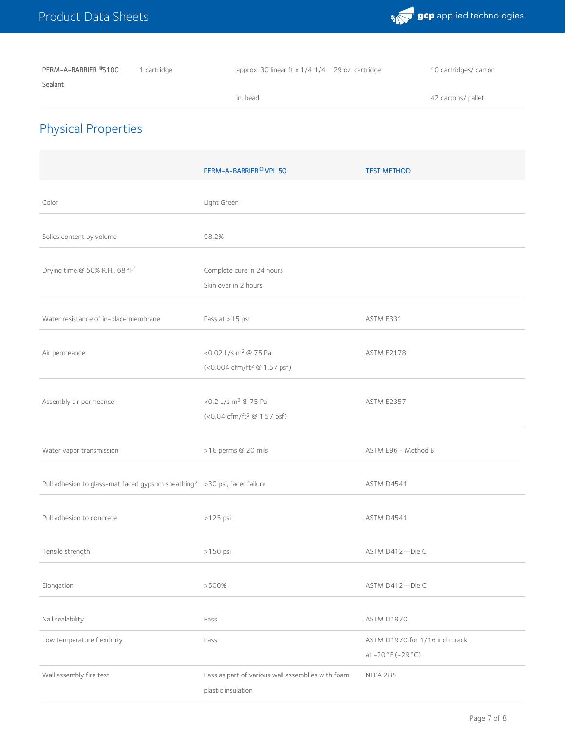

PERM-A-BARRIER ®S100 Sealant 1 cartridge **approx.** 30 linear ft x 1/4 1/4 29 oz. cartridge 10 cartridges/ carton

| ı | $\bigcirc$<br>г.<br>$\sim$<br>$\sim$<br><b>COLLA</b> |  |
|---|------------------------------------------------------|--|
|   |                                                      |  |

42 cartons/ pallet

## Physical Properties

|                                                                                        | PERM-A-BARRIER® VPL 50                                                      | <b>TEST METHOD</b>                                  |
|----------------------------------------------------------------------------------------|-----------------------------------------------------------------------------|-----------------------------------------------------|
| Color                                                                                  | Light Green                                                                 |                                                     |
| Solids content by volume                                                               | 98.2%                                                                       |                                                     |
| Drying time @ 50% R.H., 68°F1                                                          | Complete cure in 24 hours<br>Skin over in 2 hours                           |                                                     |
| Water resistance of in-place membrane                                                  | Pass at >15 psf                                                             | ASTM E331                                           |
| Air permeance                                                                          | <0.02 L/s·m <sup>2</sup> @ 75 Pa<br>(<0.004 cfm/ft <sup>2</sup> @ 1.57 psf) | <b>ASTM E2178</b>                                   |
| Assembly air permeance                                                                 | <0.2 L/s·m <sup>2</sup> @ 75 Pa<br>(<0.04 cfm/ft <sup>2</sup> @ 1.57 psf)   | <b>ASTM E2357</b>                                   |
| Water vapor transmission                                                               | >16 perms @ 20 mils                                                         | ASTM E96 - Method B                                 |
| Pull adhesion to glass-mat faced gypsum sheathing <sup>2</sup> > 30 psi, facer failure |                                                                             | ASTM D4541                                          |
| Pull adhesion to concrete                                                              | >125 psi                                                                    | ASTM D4541                                          |
| Tensile strength                                                                       | >150 psi                                                                    | ASTM D412-Die C                                     |
| Elongation                                                                             | >500%                                                                       | ASTM D412-Die C                                     |
| Nail sealability                                                                       | Pass                                                                        | ASTM D1970                                          |
| Low temperature flexibility                                                            | Pass                                                                        | ASTM D1970 for 1/16 inch crack<br>at $-20°F(-29°C)$ |
| Wall assembly fire test                                                                | Pass as part of various wall assemblies with foam<br>plastic insulation     | <b>NFPA 285</b>                                     |